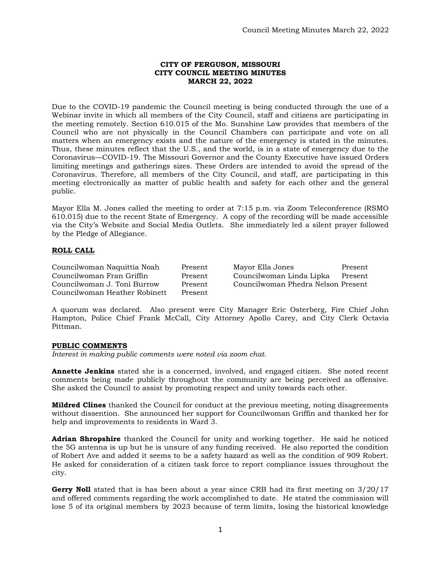## **CITY OF FERGUSON, MISSOURI CITY COUNCIL MEETING MINUTES MARCH 22, 2022**

Due to the COVID-19 pandemic the Council meeting is being conducted through the use of a Webinar invite in which all members of the City Council, staff and citizens are participating in the meeting remotely. Section 610.015 of the Mo. Sunshine Law provides that members of the Council who are not physically in the Council Chambers can participate and vote on all matters when an emergency exists and the nature of the emergency is stated in the minutes. Thus, these minutes reflect that the U.S., and the world, is in a state of emergency due to the Coronavirus—COVID-19. The Missouri Governor and the County Executive have issued Orders limiting meetings and gatherings sizes. These Orders are intended to avoid the spread of the Coronavirus. Therefore, all members of the City Council, and staff, are participating in this meeting electronically as matter of public health and safety for each other and the general public.

Mayor Ella M. Jones called the meeting to order at 7:15 p.m. via Zoom Teleconference (RSMO 610.015) due to the recent State of Emergency. A copy of the recording will be made accessible via the City's Website and Social Media Outlets. She immediately led a silent prayer followed by the Pledge of Allegiance.

# **ROLL CALL**

Councilwoman Naquittia Noah Present Mayor Ella Jones Present Councilwoman Fran Griffin Present Councilwoman Linda Lipka Present Councilwoman J. Toni Burrow Present Councilwoman Phedra Nelson Present Councilwoman Heather Robinett Present

A quorum was declared. Also present were City Manager Eric Osterberg, Fire Chief John Hampton, Police Chief Frank McCall, City Attorney Apollo Carey, and City Clerk Octavia Pittman.

## **PUBLIC COMMENTS**

*Interest in making public comments were noted via zoom chat.* 

**Annette Jenkins** stated she is a concerned, involved, and engaged citizen. She noted recent comments being made publicly throughout the community are being perceived as offensive. She asked the Council to assist by promoting respect and unity towards each other.

**Mildred Clines** thanked the Council for conduct at the previous meeting, noting disagreements without dissention. She announced her support for Councilwoman Griffin and thanked her for help and improvements to residents in Ward 3.

**Adrian Shropshire** thanked the Council for unity and working together. He said he noticed the 5G antenna is up but he is unsure of any funding received. He also reported the condition of Robert Ave and added it seems to be a safety hazard as well as the condition of 909 Robert. He asked for consideration of a citizen task force to report compliance issues throughout the city.

**Gerry Noll** stated that is has been about a year since CRB had its first meeting on 3/20/17 and offered comments regarding the work accomplished to date. He stated the commission will lose 5 of its original members by 2023 because of term limits, losing the historical knowledge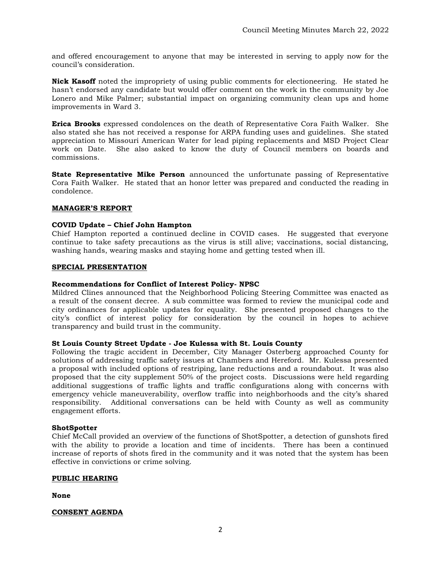and offered encouragement to anyone that may be interested in serving to apply now for the council's consideration.

**Nick Kasoff** noted the impropriety of using public comments for electioneering. He stated he hasn't endorsed any candidate but would offer comment on the work in the community by Joe Lonero and Mike Palmer; substantial impact on organizing community clean ups and home improvements in Ward 3.

**Erica Brooks** expressed condolences on the death of Representative Cora Faith Walker. She also stated she has not received a response for ARPA funding uses and guidelines. She stated appreciation to Missouri American Water for lead piping replacements and MSD Project Clear work on Date. She also asked to know the duty of Council members on boards and commissions.

**State Representative Mike Person** announced the unfortunate passing of Representative Cora Faith Walker. He stated that an honor letter was prepared and conducted the reading in condolence.

# **MANAGER'S REPORT**

# **COVID Update – Chief John Hampton**

Chief Hampton reported a continued decline in COVID cases. He suggested that everyone continue to take safety precautions as the virus is still alive; vaccinations, social distancing, washing hands, wearing masks and staying home and getting tested when ill.

## **SPECIAL PRESENTATION**

## **Recommendations for Conflict of Interest Policy- NPSC**

Mildred Clines announced that the Neighborhood Policing Steering Committee was enacted as a result of the consent decree. A sub committee was formed to review the municipal code and city ordinances for applicable updates for equality. She presented proposed changes to the city's conflict of interest policy for consideration by the council in hopes to achieve transparency and build trust in the community.

## **St Louis County Street Update - Joe Kulessa with St. Louis County**

Following the tragic accident in December, City Manager Osterberg approached County for solutions of addressing traffic safety issues at Chambers and Hereford. Mr. Kulessa presented a proposal with included options of restriping, lane reductions and a roundabout. It was also proposed that the city supplement 50% of the project costs. Discussions were held regarding additional suggestions of traffic lights and traffic configurations along with concerns with emergency vehicle maneuverability, overflow traffic into neighborhoods and the city's shared responsibility. Additional conversations can be held with County as well as community engagement efforts.

## **ShotSpotter**

Chief McCall provided an overview of the functions of ShotSpotter, a detection of gunshots fired with the ability to provide a location and time of incidents. There has been a continued increase of reports of shots fired in the community and it was noted that the system has been effective in convictions or crime solving.

## **PUBLIC HEARING**

**None**

# **CONSENT AGENDA**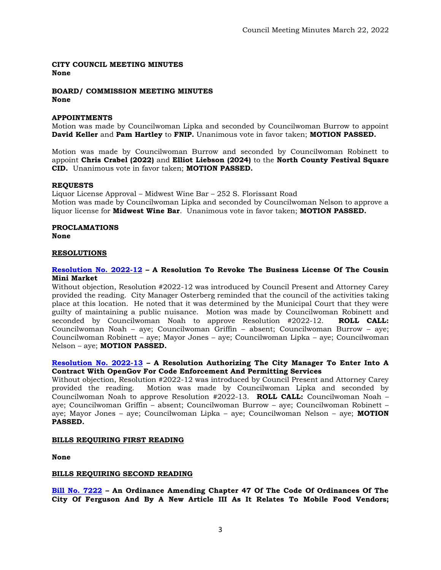**CITY COUNCIL MEETING MINUTES None**

**BOARD/ COMMISSION MEETING MINUTES None**

## **APPOINTMENTS**

Motion was made by Councilwoman Lipka and seconded by Councilwoman Burrow to appoint **David Keller** and **Pam Hartley** to **FNIP.** Unanimous vote in favor taken; **MOTION PASSED.** 

Motion was made by Councilwoman Burrow and seconded by Councilwoman Robinett to appoint **Chris Crabel (2022)** and **Elliot Liebson (2024)** to the **North County Festival Square CID.** Unanimous vote in favor taken; **MOTION PASSED.** 

#### **REQUESTS**

Liquor License Approval – Midwest Wine Bar – 252 S. Florissant Road Motion was made by Councilwoman Lipka and seconded by Councilwoman Nelson to approve a liquor license for **Midwest Wine Bar**. Unanimous vote in favor taken; **MOTION PASSED.** 

#### **PROCLAMATIONS None**

#### **RESOLUTIONS**

#### **[Resolution No. 2022-12](https://www.fergusoncity.com/DocumentCenter/View/5682/Ferguson---Resolution-to-Revoke-Business-License-of-Cousin-Mini-Market1) – A Resolution To Revoke The Business License Of The Cousin Mini Market**

Without objection, Resolution #2022-12 was introduced by Council Present and Attorney Carey provided the reading. City Manager Osterberg reminded that the council of the activities taking place at this location. He noted that it was determined by the Municipal Court that they were guilty of maintaining a public nuisance. Motion was made by Councilwoman Robinett and seconded by Councilwoman Noah to approve Resolution #2022-12. **ROLL CALL:**  Councilwoman Noah – aye; Councilwoman Griffin – absent; Councilwoman Burrow – aye; Councilwoman Robinett – aye; Mayor Jones – aye; Councilwoman Lipka – aye; Councilwoman Nelson – aye; **MOTION PASSED.**

#### **[Resolution No. 2022-13](https://www.fergusoncity.com/DocumentCenter/View/5681/Ferguson---Resolution-for-OpenGov1) – A Resolution Authorizing The City Manager To Enter Into A Contract With OpenGov For Code Enforcement And Permitting Services**

Without objection, Resolution #2022-12 was introduced by Council Present and Attorney Carey provided the reading. Motion was made by Councilwoman Lipka and seconded by Councilwoman Noah to approve Resolution #2022-13. **ROLL CALL:** Councilwoman Noah – aye; Councilwoman Griffin – absent; Councilwoman Burrow – aye; Councilwoman Robinett – aye; Mayor Jones – aye; Councilwoman Lipka – aye; Councilwoman Nelson – aye; **MOTION PASSED.**

#### **BILLS REQUIRING FIRST READING**

**None**

#### **BILLS REQUIRING SECOND READING**

**[Bill No. 7222](https://www.fergusoncity.com/DocumentCenter/View/5654/Bill-No-7222-2022-xxxxxMobile-Food-Truck-Permit) – An Ordinance Amending Chapter 47 Of The Code Of Ordinances Of The City Of Ferguson And By A New Article III As It Relates To Mobile Food Vendors;**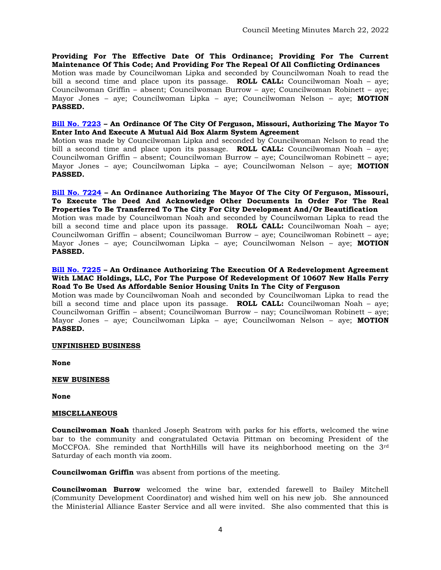**Providing For The Effective Date Of This Ordinance; Providing For The Current Maintenance Of This Code; And Providing For The Repeal Of All Conflicting Ordinances** Motion was made by Councilwoman Lipka and seconded by Councilwoman Noah to read the bill a second time and place upon its passage. **ROLL CALL:** Councilwoman Noah – aye; Councilwoman Griffin – absent; Councilwoman Burrow – aye; Councilwoman Robinett – aye; Mayor Jones – aye; Councilwoman Lipka – aye; Councilwoman Nelson – aye; **MOTION PASSED.**

## **[Bill No. 7223](https://www.fergusoncity.com/DocumentCenter/View/5655/Bill-No-7223-2022-xxxx-Authorizing-MABAS-Agreement-2-21-20221) – An Ordinance Of The City Of Ferguson, Missouri, Authorizing The Mayor To Enter Into And Execute A Mutual Aid Box Alarm System Agreement**

Motion was made by Councilwoman Lipka and seconded by Councilwoman Nelson to read the bill a second time and place upon its passage. **ROLL CALL:** Councilwoman Noah – aye; Councilwoman Griffin – absent; Councilwoman Burrow – aye; Councilwoman Robinett – aye; Mayor Jones – aye; Councilwoman Lipka – aye; Councilwoman Nelson – aye; **MOTION PASSED.**

**[Bill No. 7224](https://www.fergusoncity.com/DocumentCenter/View/5656/Bill-No-7224-2022-xxxx-Ordinance-for-Acquisition-2021-4) – An Ordinance Authorizing The Mayor Of The City Of Ferguson, Missouri, To Execute The Deed And Acknowledge Other Documents In Order For The Real Properties To Be Transferred To The City For City Development And/Or Beautification**

Motion was made by Councilwoman Noah and seconded by Councilwoman Lipka to read the bill a second time and place upon its passage. **ROLL CALL:** Councilwoman Noah – aye; Councilwoman Griffin – absent; Councilwoman Burrow – aye; Councilwoman Robinett – aye; Mayor Jones – aye; Councilwoman Lipka – aye; Councilwoman Nelson – aye; **MOTION PASSED.**

## **[Bill No. 7225](https://www.fergusoncity.com/DocumentCenter/View/5665/Bill-No-7225-2022-xxxx-A-CARING-PLUS-SENIOR-HOUSING-REDEVELOPMENT_AGREEMENT) – An Ordinance Authorizing The Execution Of A Redevelopment Agreement With LMAC Holdings, LLC, For The Purpose Of Redevelopment Of 10607 New Halls Ferry Road To Be Used As Affordable Senior Housing Units In The City of Ferguson**

Motion was made by Councilwoman Noah and seconded by Councilwoman Lipka to read the bill a second time and place upon its passage. **ROLL CALL:** Councilwoman Noah – aye; Councilwoman Griffin – absent; Councilwoman Burrow – nay; Councilwoman Robinett – aye; Mayor Jones – aye; Councilwoman Lipka – aye; Councilwoman Nelson – aye; **MOTION PASSED.**

## **UNFINISHED BUSINESS**

**None**

## **NEW BUSINESS**

**None**

## **MISCELLANEOUS**

**Councilwoman Noah** thanked Joseph Seatrom with parks for his efforts, welcomed the wine bar to the community and congratulated Octavia Pittman on becoming President of the MoCCFOA. She reminded that NorthHills will have its neighborhood meeting on the 3rd Saturday of each month via zoom.

**Councilwoman Griffin** was absent from portions of the meeting.

**Councilwoman Burrow** welcomed the wine bar, extended farewell to Bailey Mitchell (Community Development Coordinator) and wished him well on his new job. She announced the Ministerial Alliance Easter Service and all were invited. She also commented that this is